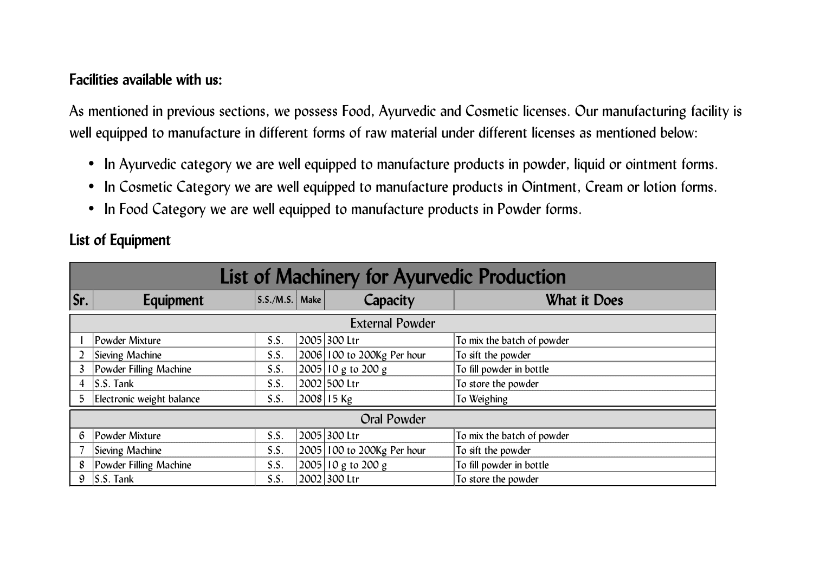## **Facilities available with us:**

As mentioned in previous sections, we possess Food, Ayurvedic and Cosmetic licenses. Our manufacturing facility is well equipped to manufacture in different forms of raw material under different licenses as mentioned below:

- In Ayurvedic category we are well equipped to manufacture products in powder, liquid or ointment forms.
- In Cosmetic Category we are well equipped to manufacture products in Ointment, Cream or lotion forms.
- In Food Category we are well equipped to manufacture products in Powder forms.

**List of Equipment** 

| List of Machinery for Ayurvedic Production |                           |                         |  |                            |                            |  |  |
|--------------------------------------------|---------------------------|-------------------------|--|----------------------------|----------------------------|--|--|
| Sr.                                        | Equipment                 | $\left $ S.S./M.S. Make |  | Capacity                   | <b>What it Does</b>        |  |  |
| <b>External Powder</b>                     |                           |                         |  |                            |                            |  |  |
|                                            | Powder Mixture            | S.S.                    |  | 2005 300 Ltr               | To mix the batch of powder |  |  |
|                                            | <b>Sieving Machine</b>    | S.S.                    |  | 2006 100 to 200Kg Per hour | To sift the powder         |  |  |
| $\overline{3}$                             | Powder Filling Machine    | S.S.                    |  | $2005$ 10 g to 200 g       | To fill powder in bottle   |  |  |
| $\overline{4}$                             | $S.S.$ Tank               | S.S.                    |  | 2002 500 Ltr               | To store the powder        |  |  |
| 5.                                         | Electronic weight balance | S.S.                    |  | 2008 15 Kg                 | To Weighing                |  |  |
| Oral Powder                                |                           |                         |  |                            |                            |  |  |
| $6^{\circ}$                                | Powder Mixture            | S.S.                    |  | 2005 300 Ltr               | To mix the batch of powder |  |  |
|                                            | <b>Sieving Machine</b>    | S.S.                    |  | 2005 100 to 200Kg Per hour | To sift the powder         |  |  |
| 8                                          | Powder Filling Machine    | S.S.                    |  | $ 2005 10 g$ to $200 g$    | To fill powder in bottle   |  |  |
| 9                                          | $\mathsf{S.S.}$ Tank      | S.S.                    |  | 2002 300 Ltr               | To store the powder        |  |  |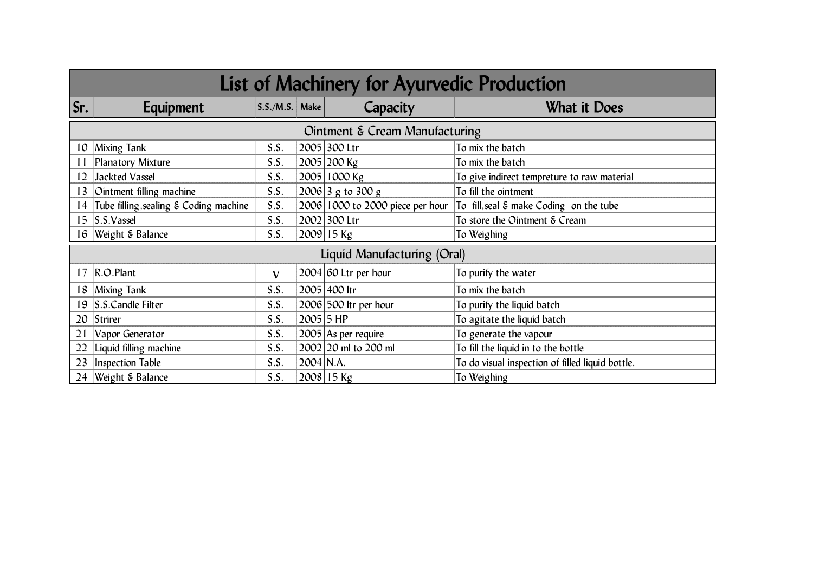| List of Machinery for Ayurvedic Production |                                        |                  |             |                                  |                                                  |  |  |  |
|--------------------------------------------|----------------------------------------|------------------|-------------|----------------------------------|--------------------------------------------------|--|--|--|
| Sr.                                        | Equipment                              | $S.S./M.S.$ Make |             | Capacity                         | <b>What it Does</b>                              |  |  |  |
| Ointment & Cream Manufacturing             |                                        |                  |             |                                  |                                                  |  |  |  |
| 10                                         | <b>Mixing Tank</b>                     | S.S.             |             | 2005 300 Ltr                     | To mix the batch                                 |  |  |  |
|                                            | Planatory Mixture                      | S.S.             |             | 2005 200 Kg                      | To mix the batch                                 |  |  |  |
| $\overline{12}$                            | <b>Jackted Vassel</b>                  | S.S.             |             | 2005 1000 Kg                     | To give indirect tempreture to raw material      |  |  |  |
| $\overline{3}$                             | Ointment filling machine               | S.S.             |             | $ 2006 3$ g to 300 g             | To fill the ointment                             |  |  |  |
| 14                                         | Tube filling, sealing & Coding machine | S.S.             |             | 2006 1000 to 2000 piece per hour | To fill, seal & make Coding on the tube          |  |  |  |
| 15                                         | S.S.Vassel                             | S.S.             |             | 2002 300 Ltr                     | To store the Ointment & Cream                    |  |  |  |
| 16                                         | Weight & Balance                       | S.S.             |             | 2009 15 Kg                       | To Weighing                                      |  |  |  |
|                                            | Liquid Manufacturing (Oral)            |                  |             |                                  |                                                  |  |  |  |
|                                            | 17 R.O.Plant                           | $\mathbf{V}$     |             | $2004$ 60 Ltr per hour           | To purify the water                              |  |  |  |
| 18                                         | <b>Mixing Tank</b>                     | S.S.             |             | 2005 400 ltr                     | To mix the batch                                 |  |  |  |
| 19                                         | S.S.Candle Filter                      | S.S.             |             | 2006 500 ltr per hour            | To purify the liquid batch                       |  |  |  |
| 20                                         | Strirer                                | S.S.             | $2005$ 5 HP |                                  | To agitate the liquid batch                      |  |  |  |
| 21                                         | Vapor Generator                        | S.S.             |             | 2005 As per require              | To generate the vapour                           |  |  |  |
| 22                                         | Liquid filling machine                 | S.S.             |             | 2002 20 ml to 200 ml             | To fill the liquid in to the bottle              |  |  |  |
| 23                                         | <b>Inspection Table</b>                | S.S.             | 2004 N.A.   |                                  | To do visual inspection of filled liquid bottle. |  |  |  |
| 24                                         | Weight & Balance                       | S.S.             |             | 2008 15 Kg                       | To Weighing                                      |  |  |  |